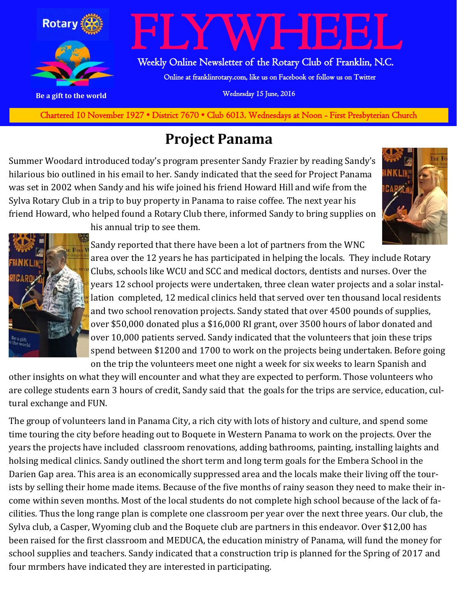

**Charted November 29, 1927 • District 7670 • Club 6013 Wednesdays at Noon - First Presbyterian Church** Chartered 10 November 1927 • District 7670 • Club 6013. Wednesdays at Noon - First Presbyterian Church

#### **Project Panama**

Summer Woodard introduced today's program presenter Sandy Frazier by reading Sandy's hilarious bio outlined in his email to her. Sandy indicated that the seed for Project Panama was set in 2002 when Sandy and his wife joined his friend Howard Hill and wife from the Sylva Rotary Club in a trip to buy property in Panama to raise coffee. The next year his friend Howard, who helped found a Rotary Club there, informed Sandy to bring supplies on





his annual trip to see them.

Sandy reported that there have been a lot of partners from the WNC area over the 12 years he has participated in helping the locals. They include Rotary Clubs, schools like WCU and SCC and medical doctors, dentists and nurses. Over the years 12 school projects were undertaken, three clean water projects and a solar installation completed, 12 medical clinics held that served over ten thousand local residents and two school renovation projects. Sandy stated that over 4500 pounds of supplies, over \$50,000 donated plus a \$16,000 RI grant, over 3500 hours of labor donated and over 10,000 patients served. Sandy indicated that the volunteers that join these trips spend between \$1200 and 1700 to work on the projects being undertaken. Before going on the trip the volunteers meet one night a week for six weeks to learn Spanish and

other insights on what they will encounter and what they are expected to perform. Those volunteers who are college students earn 3 hours of credit, Sandy said that the goals for the trips are service, education, cultural exchange and FUN.

The group of volunteers land in Panama City, a rich city with lots of history and culture, and spend some time touring the city before heading out to Boquete in Western Panama to work on the projects. Over the years the projects have included classroom renovations, adding bathrooms, painting, installing laights and holsing medical clinics. Sandy outlined the short term and long term goals for the Embera School in the Darien Gap area. This area is an economically suppressed area and the locals make their living off the tourists by selling their home made items. Because of the five months of rainy season they need to make their income within seven months. Most of the local students do not complete high school because of the lack of facilities. Thus the long range plan is complete one classroom per year over the next three years. Our club, the Sylva club, a Casper, Wyoming club and the Boquete club are partners in this endeavor. Over \$12,00 has been raised for the first classroom and MEDUCA, the education ministry of Panama, will fund the money for school supplies and teachers. Sandy indicated that a construction trip is planned for the Spring of 2017 and four mrmbers have indicated they are interested in participating.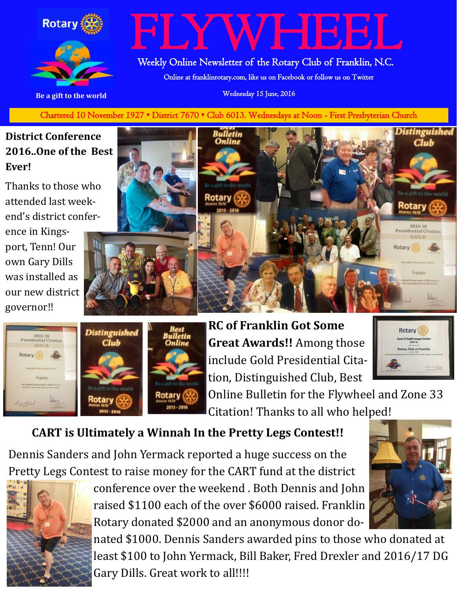



# /HEEL

Weekly Online Newsletter of the Rotary Club of Franklin, N.C.

Online at franklinrotary.com, like us on Facebook or follow us on Twitter

**Be a gift to the world Be a gift to the world Wednesday 15 June, 2016** 

**Charted November 29, 1927 • District 7670 • Club 6013 Wednesdays at Noon - First Presbyterian Church** Chartered 10 November 1927 • District 7670 • Club 6013. Wednesdays at Noon - First Presbyterian Church

#### **District Conference 2016..One of the Best Ever!**

Thanks to those who attended last weekend's district confer-

ence in Kingsport, Tenn! Our own Gary Dills was installed as our new district governor!!







**RC of Franklin Got Some Great Awards!!** Among those include Gold Presidential Citation, Distinguished Club, Best

Rotary tary Club of Franklin

Online Bulletin for the Flywheel and Zone 33 Citation! Thanks to all who helped!

#### **CART is Ultimately a Winnah In the Pretty Legs Contest!!**

Dennis Sanders and John Yermack reported a huge success on the Pretty Legs Contest to raise money for the CART fund at the district



conference over the weekend . Both Dennis and John raised \$1100 each of the over \$6000 raised. Franklin Rotary donated \$2000 and an anonymous donor do-

nated \$1000. Dennis Sanders awarded pins to those who donated at least \$100 to John Yermack, Bill Baker, Fred Drexler and 2016/17 DG Gary Dills. Great work to all!!!!

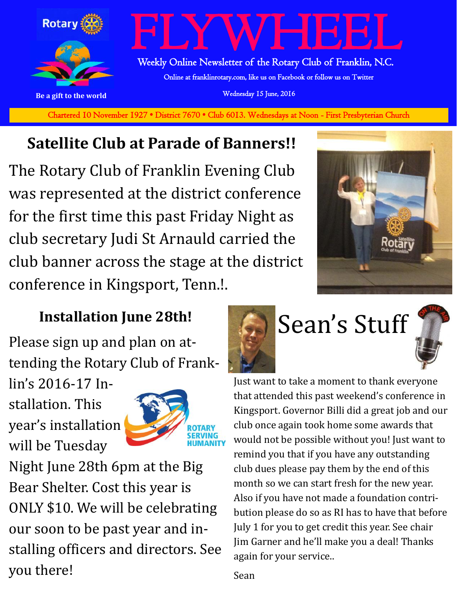

**Charted November 29, 1927 • District 7670 • Club 6013 Wednesdays at Noon - First Presbyterian Church** Chartered 10 November 1927 • District 7670 • Club 6013. Wednesdays at Noon - First Presbyterian Church

## **Satellite Club at Parade of Banners!!**

The Rotary Club of Franklin Evening Club was represented at the district conference for the first time this past Friday Night as club secretary Judi St Arnauld carried the club banner across the stage at the district conference in Kingsport, Tenn.!.



### **Installation June 28th!**

Please sign up and plan on attending the Rotary Club of Frank-

lin's 2016-17 Installation. This year's installation will be Tuesday



Night June 28th 6pm at the Big Bear Shelter. Cost this year is ONLY \$10. We will be celebrating our soon to be past year and installing officers and directors. See you there!





Just want to take a moment to thank everyone that attended this past weekend's conference in Kingsport. Governor Billi did a great job and our club once again took home some awards that would not be possible without you! Just want to remind you that if you have any outstanding club dues please pay them by the end of this month so we can start fresh for the new year. Also if you have not made a foundation contribution please do so as RI has to have that before July 1 for you to get credit this year. See chair Jim Garner and he'll make you a deal! Thanks again for your service..

Sean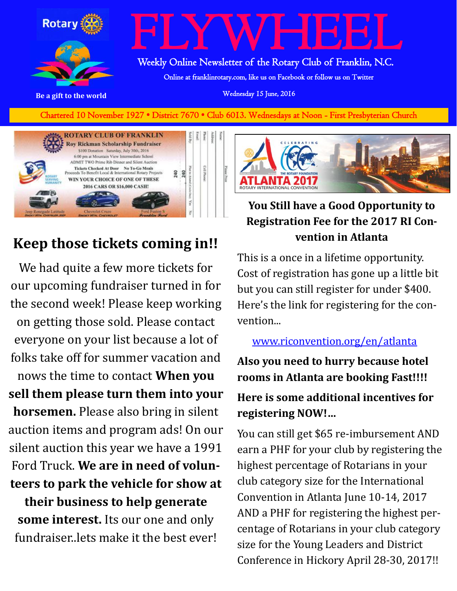

# FLYWHEEL

Weekly Online Newsletter of the Rotary Club of Franklin, N.C.

Online at franklinrotary.com, like us on Facebook or follow us on Twitter

**Be a gift to the world Be a gift to the world Wednesday 15 June, 2016** 

**Charted November 29, 1927 • District 7670 • Club 6013 Wednesdays at Noon - First Presbyterian Church** Chartered 10 November 1927 • District 7670 • Club 6013. Wednesdays at Noon - First Presbyterian Church



### **Keep those tickets coming in!!**

We had quite a few more tickets for our upcoming fundraiser turned in for the second week! Please keep working on getting those sold. Please contact everyone on your list because a lot of folks take off for summer vacation and nows the time to contact **When you sell them please turn them into your horsemen.** Please also bring in silent auction items and program ads! On our silent auction this year we have a 1991 Ford Truck. **We are in need of volunteers to park the vehicle for show at their business to help generate some interest.** Its our one and only fundraiser..lets make it the best ever!



#### **You Still have a Good Opportunity to Registration Fee for the 2017 RI Convention in Atlanta**

This is a once in a lifetime opportunity. Cost of registration has gone up a little bit but you can still register for under \$400. Here's the link for registering for the convention...

#### [www.riconvention.org/en/atlanta](http://www.riconvention.org/en/atlanta)

**Also you need to hurry because hotel rooms in Atlanta are booking Fast!!!!**

#### **Here is some additional incentives for registering NOW!…**

You can still get \$65 re-imbursement AND earn a PHF for your club by registering the highest percentage of Rotarians in your club category size for the International Convention in Atlanta June 10-14, 2017 AND a PHF for registering the highest percentage of Rotarians in your club category size for the Young Leaders and District Conference in Hickory April 28-30, 2017!!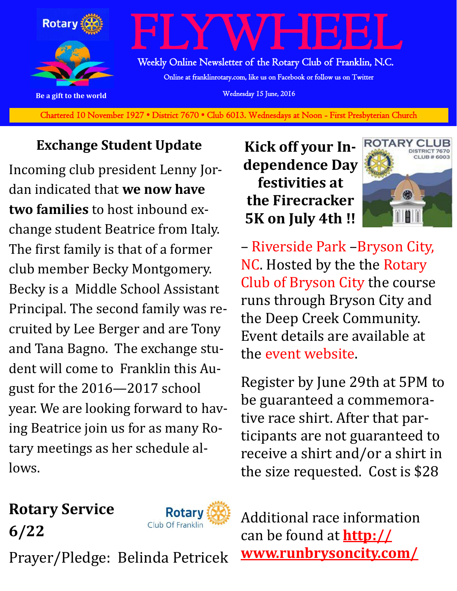

Chartered 10 November 1927 • District 7670 • Club 6013. Wednesdays at Noon - First Presbyterian Church

#### **Exchange Student Update**

Incoming club president Lenny Jordan indicated that **we now have two families** to host inbound exchange student Beatrice from Italy. The first family is that of a former club member Becky Montgomery. Becky is a Middle School Assistant Principal. The second family was recruited by Lee Berger and are Tony and Tana Bagno. The exchange student will come to Franklin this August for the 2016—2017 school year. We are looking forward to having Beatrice join us for as many Rotary meetings as her schedule allows.

**Kick off your Independence Day festivities at the Firecracker 5K on July 4th !!**



– [Riverside Park](https://www.facebook.com/pages/Riverside-Park/152152808261324) –[Bryson City,](http://www.runbrysoncity.com/directions.html)  [NC.](http://www.runbrysoncity.com/directions.html) Hosted by the the [Rotary](https://www.facebook.com/Rotary-Club-of-Bryson-City-163579257039259)  [Club of Bryson City](https://www.facebook.com/Rotary-Club-of-Bryson-City-163579257039259) the course runs through Bryson City and the Deep Creek Community. Event details are available at the [event website.](http://www.runbrysoncity.com/)

Register by June 29th at 5PM to be guaranteed a commemorative race shirt. After that participants are not guaranteed to receive a shirt and/or a shirt in the size requested. Cost is \$28

**Rotary Service** 

**6/22**



Prayer/Pledge: Belinda Petricek

Additional race information can be found at **[http://](http://www.runbrysoncity.com/) [www.runbrysoncity.com/](http://www.runbrysoncity.com/)**